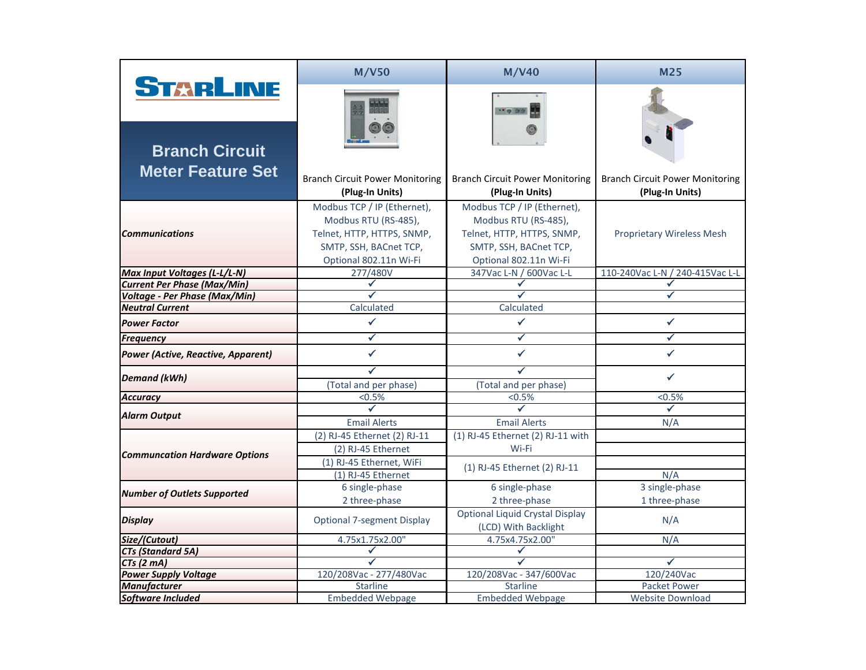|                                           | <b>M/V50</b>                                                                                                                          | <b>M/V40</b>                                                                                                                          | <b>M25</b>                                                |
|-------------------------------------------|---------------------------------------------------------------------------------------------------------------------------------------|---------------------------------------------------------------------------------------------------------------------------------------|-----------------------------------------------------------|
| STARLINE<br><b>Branch Circuit</b>         |                                                                                                                                       | 0.95                                                                                                                                  |                                                           |
| <b>Meter Feature Set</b>                  | <b>Branch Circuit Power Monitoring</b><br>(Plug-In Units)                                                                             | <b>Branch Circuit Power Monitoring</b><br>(Plug-In Units)                                                                             | <b>Branch Circuit Power Monitoring</b><br>(Plug-In Units) |
| <b>Communications</b>                     | Modbus TCP / IP (Ethernet),<br>Modbus RTU (RS-485),<br>Telnet, HTTP, HTTPS, SNMP,<br>SMTP, SSH, BACnet TCP,<br>Optional 802.11n Wi-Fi | Modbus TCP / IP (Ethernet),<br>Modbus RTU (RS-485),<br>Telnet, HTTP, HTTPS, SNMP,<br>SMTP, SSH, BACnet TCP,<br>Optional 802.11n Wi-Fi | <b>Proprietary Wireless Mesh</b>                          |
| <b>Max Input Voltages (L-L/L-N)</b>       | 277/480V                                                                                                                              | 347Vac L-N / 600Vac L-L                                                                                                               | 110-240Vac L-N / 240-415Vac L-L                           |
| <b>Current Per Phase (Max/Min)</b>        |                                                                                                                                       |                                                                                                                                       |                                                           |
| <b>Voltage - Per Phase (Max/Min)</b>      |                                                                                                                                       |                                                                                                                                       |                                                           |
| <b>Neutral Current</b>                    | Calculated                                                                                                                            | Calculated                                                                                                                            |                                                           |
| <b>Power Factor</b>                       |                                                                                                                                       |                                                                                                                                       |                                                           |
| <b>Frequency</b>                          | $\checkmark$                                                                                                                          | $\checkmark$                                                                                                                          | ✓                                                         |
| <b>Power (Active, Reactive, Apparent)</b> |                                                                                                                                       |                                                                                                                                       |                                                           |
| <b>Demand (kWh)</b>                       | (Total and per phase)                                                                                                                 | (Total and per phase)                                                                                                                 |                                                           |
| <b>Accuracy</b>                           | $< 0.5\%$                                                                                                                             | $< 0.5\%$                                                                                                                             | $< 0.5\%$                                                 |
|                                           |                                                                                                                                       |                                                                                                                                       |                                                           |
| <b>Alarm Output</b>                       | <b>Email Alerts</b>                                                                                                                   | <b>Email Alerts</b>                                                                                                                   | N/A                                                       |
|                                           | (2) RJ-45 Ethernet (2) RJ-11                                                                                                          | (1) RJ-45 Ethernet (2) RJ-11 with                                                                                                     |                                                           |
| <b>Communcation Hardware Options</b>      | (2) RJ-45 Ethernet                                                                                                                    | Wi-Fi                                                                                                                                 |                                                           |
|                                           | (1) RJ-45 Ethernet, WiFi<br>$(1)$ RJ-45 Ethernet                                                                                      | (1) RJ-45 Ethernet (2) RJ-11                                                                                                          | N/A                                                       |
|                                           | 6 single-phase                                                                                                                        | 6 single-phase                                                                                                                        | 3 single-phase                                            |
| <b>Number of Outlets Supported</b>        | 2 three-phase                                                                                                                         | 2 three-phase                                                                                                                         | 1 three-phase                                             |
| <b>Display</b>                            | <b>Optional 7-segment Display</b>                                                                                                     | <b>Optional Liquid Crystal Display</b><br>(LCD) With Backlight                                                                        | N/A                                                       |
| Size/(Cutout)                             | 4.75x1.75x2.00"                                                                                                                       | 4.75x4.75x2.00"                                                                                                                       | N/A                                                       |
| <b>CTs (Standard 5A)</b>                  |                                                                                                                                       |                                                                                                                                       |                                                           |
| $CTs$ (2 mA)                              |                                                                                                                                       |                                                                                                                                       | $\checkmark$                                              |
| <b>Power Supply Voltage</b>               | 120/208Vac - 277/480Vac                                                                                                               | 120/208Vac - 347/600Vac                                                                                                               | 120/240Vac                                                |
| <b>Manufacturer</b>                       | <b>Starline</b>                                                                                                                       | <b>Starline</b>                                                                                                                       | <b>Packet Power</b>                                       |
| Software Included                         | <b>Embedded Webpage</b>                                                                                                               | <b>Embedded Webpage</b>                                                                                                               | <b>Website Download</b>                                   |